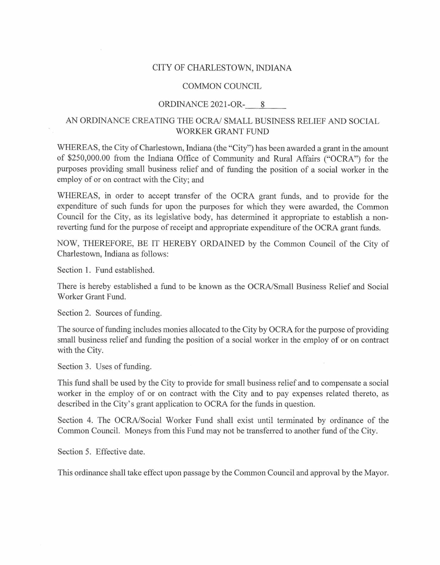## CITY OF CHARLESTOWN, INDIANA

## COMMON COUNCIL

## ORDINANCE 2021-OR- 8

## AN ORDINANCE CREATING THE OCRA/ SMALL BUSINESS RELIEF AND SOCIAL WORKER GRANT FUND

WHEREAS, the City of Charlestown, Indiana (the "City") has been awarded a grant in the amount of \$250,000.00 from the Indiana Office of Community and Rural Affairs ("OCRA") for the purposes providing small business relief and of funding the position of a social worker in the employ of or on contract with the City; and

WHEREAS, in order to accept transfer of the OCRA grant funds, and to provide for the expenditure of such funds for upon the purposes for which they were awarded, the Common Council for the City, as its legislative body, has determined it appropriate to establish a nonreverting fund for the purpose of receipt and appropriate expenditure of the OCRA grant funds.

NOW, THEREFORE, BE IT HEREBY ORDAINED by the Common Council of the City of Charlestown, Indiana as follows:

Section 1. Fund established.

There is hereby established a fund to be known as the OCRA/Small Business Relief and Social Worker Grant Fund.

Section 2. Sources of funding.

The source of funding includes monies allocated to the City by OCRA for the purpose of providing small business relief and funding the position of a social worker in the employ of or on contract with the City.

Section 3. Uses of funding.

This fund shall be used by the City to provide for small business relief and to compensate a social worker in the employ of or on contract with the City and to pay expenses related thereto, as described in the City's grant application to OCRA for the funds in question.

Section 4. The OCRA/Social Worker Fund shall exist until terminated by ordinance of the Common Council. Moneys from this Fund may not be transferred to another fund ofthe City.

Section 5. Effective date.

This ordinance shall take effect upon passage by the Common Council and approval by the Mayor.